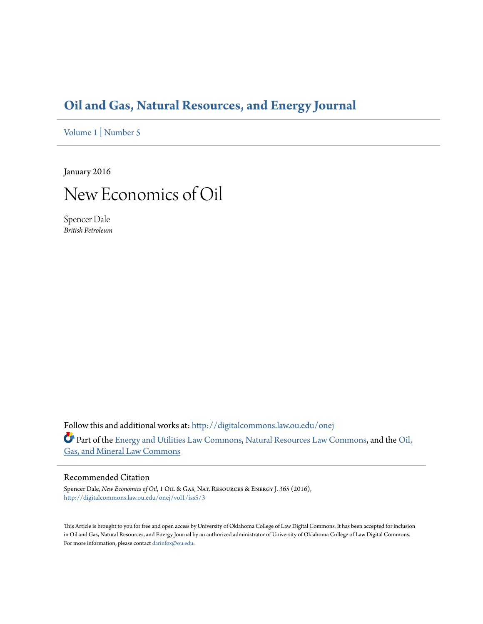### **[Oil and Gas, Natural Resources, and Energy Journal](http://digitalcommons.law.ou.edu/onej?utm_source=digitalcommons.law.ou.edu%2Fonej%2Fvol1%2Fiss5%2F3&utm_medium=PDF&utm_campaign=PDFCoverPages)**

[Volume 1](http://digitalcommons.law.ou.edu/onej/vol1?utm_source=digitalcommons.law.ou.edu%2Fonej%2Fvol1%2Fiss5%2F3&utm_medium=PDF&utm_campaign=PDFCoverPages) | [Number 5](http://digitalcommons.law.ou.edu/onej/vol1/iss5?utm_source=digitalcommons.law.ou.edu%2Fonej%2Fvol1%2Fiss5%2F3&utm_medium=PDF&utm_campaign=PDFCoverPages)

January 2016

## New Economics of Oil

Spencer Dale *British Petroleum*

Follow this and additional works at: [http://digitalcommons.law.ou.edu/onej](http://digitalcommons.law.ou.edu/onej?utm_source=digitalcommons.law.ou.edu%2Fonej%2Fvol1%2Fiss5%2F3&utm_medium=PDF&utm_campaign=PDFCoverPages) Part of the [Energy and Utilities Law Commons,](http://network.bepress.com/hgg/discipline/891?utm_source=digitalcommons.law.ou.edu%2Fonej%2Fvol1%2Fiss5%2F3&utm_medium=PDF&utm_campaign=PDFCoverPages) [Natural Resources Law Commons,](http://network.bepress.com/hgg/discipline/863?utm_source=digitalcommons.law.ou.edu%2Fonej%2Fvol1%2Fiss5%2F3&utm_medium=PDF&utm_campaign=PDFCoverPages) and the [Oil,](http://network.bepress.com/hgg/discipline/864?utm_source=digitalcommons.law.ou.edu%2Fonej%2Fvol1%2Fiss5%2F3&utm_medium=PDF&utm_campaign=PDFCoverPages) [Gas, and Mineral Law Commons](http://network.bepress.com/hgg/discipline/864?utm_source=digitalcommons.law.ou.edu%2Fonej%2Fvol1%2Fiss5%2F3&utm_medium=PDF&utm_campaign=PDFCoverPages)

#### Recommended Citation

Spencer Dale, *New Economics of Oil*, 1 Oil & Gas, Nat. Resources & Energy J. 365 (2016), [http://digitalcommons.law.ou.edu/onej/vol1/iss5/3](http://digitalcommons.law.ou.edu/onej/vol1/iss5/3?utm_source=digitalcommons.law.ou.edu%2Fonej%2Fvol1%2Fiss5%2F3&utm_medium=PDF&utm_campaign=PDFCoverPages)

This Article is brought to you for free and open access by University of Oklahoma College of Law Digital Commons. It has been accepted for inclusion in Oil and Gas, Natural Resources, and Energy Journal by an authorized administrator of University of Oklahoma College of Law Digital Commons. For more information, please contact [darinfox@ou.edu](mailto:darinfox@ou.edu).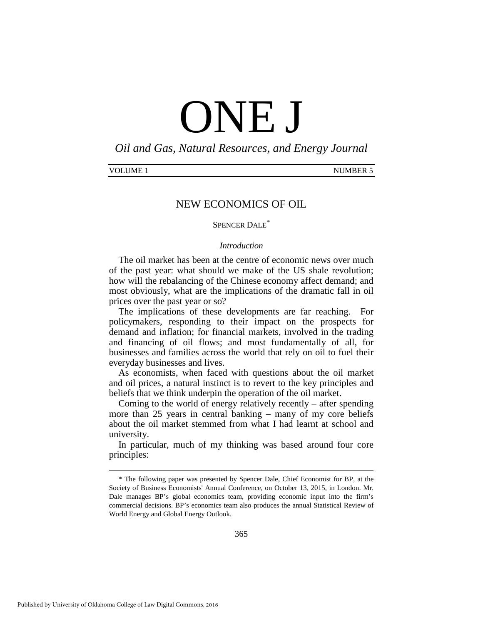# ONE J

*Oil and Gas, Natural Resources, and Energy Journal*

| VOLUME | <b>NUMBER 5</b> |
|--------|-----------------|
|        |                 |

#### NEW ECONOMICS OF OIL

#### SPENCER DALE<sup>[\\*](#page-1-0)</sup>

#### *Introduction*

The oil market has been at the centre of economic news over much of the past year: what should we make of the US shale revolution; how will the rebalancing of the Chinese economy affect demand; and most obviously, what are the implications of the dramatic fall in oil prices over the past year or so?

The implications of these developments are far reaching. For policymakers, responding to their impact on the prospects for demand and inflation; for financial markets, involved in the trading and financing of oil flows; and most fundamentally of all, for businesses and families across the world that rely on oil to fuel their everyday businesses and lives.

As economists, when faced with questions about the oil market and oil prices, a natural instinct is to revert to the key principles and beliefs that we think underpin the operation of the oil market.

Coming to the world of energy relatively recently – after spending more than 25 years in central banking – many of my core beliefs about the oil market stemmed from what I had learnt at school and university.

In particular, much of my thinking was based around four core principles:

<span id="page-1-0"></span> <sup>\*</sup> The following paper was presented by Spencer Dale, Chief Economist for BP, at the Society of Business Economists' Annual Conference, on October 13, 2015, in London. Mr. Dale manages BP's global economics team, providing economic input into the firm's commercial decisions. BP's economics team also produces the annual Statistical Review of World Energy and Global Energy Outlook.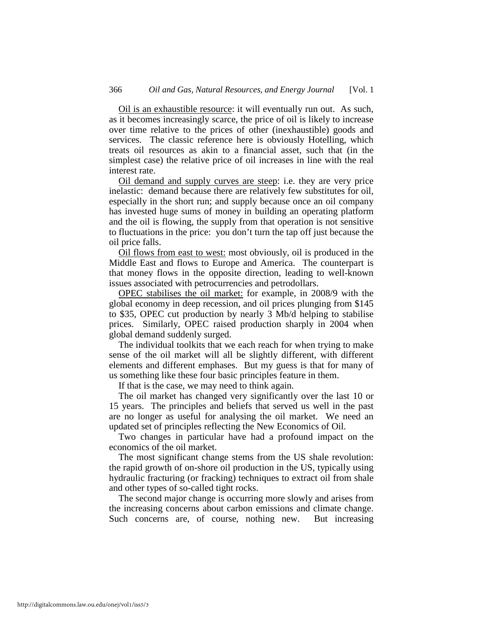Oil is an exhaustible resource: it will eventually run out. As such, as it becomes increasingly scarce, the price of oil is likely to increase over time relative to the prices of other (inexhaustible) goods and services. The classic reference here is obviously Hotelling, which treats oil resources as akin to a financial asset, such that (in the simplest case) the relative price of oil increases in line with the real interest rate.

Oil demand and supply curves are steep: i.e. they are very price inelastic: demand because there are relatively few substitutes for oil, especially in the short run; and supply because once an oil company has invested huge sums of money in building an operating platform and the oil is flowing, the supply from that operation is not sensitive to fluctuations in the price: you don't turn the tap off just because the oil price falls.

Oil flows from east to west: most obviously, oil is produced in the Middle East and flows to Europe and America. The counterpart is that money flows in the opposite direction, leading to well-known issues associated with petrocurrencies and petrodollars.

OPEC stabilises the oil market: for example, in 2008/9 with the global economy in deep recession, and oil prices plunging from \$145 to \$35, OPEC cut production by nearly 3 Mb/d helping to stabilise prices. Similarly, OPEC raised production sharply in 2004 when global demand suddenly surged.

The individual toolkits that we each reach for when trying to make sense of the oil market will all be slightly different, with different elements and different emphases. But my guess is that for many of us something like these four basic principles feature in them.

If that is the case, we may need to think again.

The oil market has changed very significantly over the last 10 or 15 years. The principles and beliefs that served us well in the past are no longer as useful for analysing the oil market. We need an updated set of principles reflecting the New Economics of Oil.

Two changes in particular have had a profound impact on the economics of the oil market.

The most significant change stems from the US shale revolution: the rapid growth of on-shore oil production in the US, typically using hydraulic fracturing (or fracking) techniques to extract oil from shale and other types of so-called tight rocks.

The second major change is occurring more slowly and arises from the increasing concerns about carbon emissions and climate change. Such concerns are, of course, nothing new. But increasing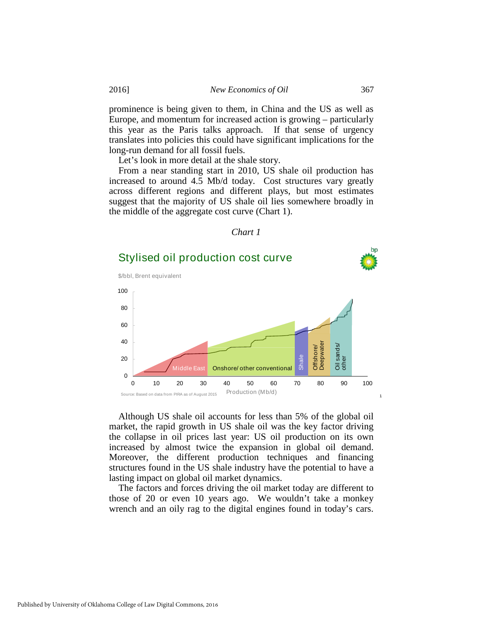prominence is being given to them, in China and the US as well as Europe, and momentum for increased action is growing – particularly this year as the Paris talks approach. If that sense of urgency translates into policies this could have significant implications for the long-run demand for all fossil fuels.

Let's look in more detail at the shale story.

From a near standing start in 2010, US shale oil production has increased to around 4.5 Mb/d today. Cost structures vary greatly across different regions and different plays, but most estimates suggest that the majority of US shale oil lies somewhere broadly in the middle of the aggregate cost curve (Chart 1).

#### *Chart 1*



Although US shale oil accounts for less than 5% of the global oil market, the rapid growth in US shale oil was the key factor driving the collapse in oil prices last year: US oil production on its own increased by almost twice the expansion in global oil demand. Moreover, the different production techniques and financing structures found in the US shale industry have the potential to have a lasting impact on global oil market dynamics.

The factors and forces driving the oil market today are different to those of 20 or even 10 years ago. We wouldn't take a monkey wrench and an oily rag to the digital engines found in today's cars.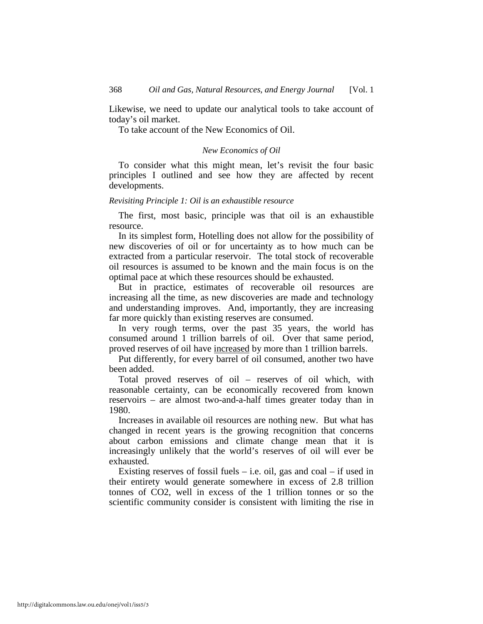Likewise, we need to update our analytical tools to take account of today's oil market.

To take account of the New Economics of Oil.

#### *New Economics of Oil*

To consider what this might mean, let's revisit the four basic principles I outlined and see how they are affected by recent developments.

#### *Revisiting Principle 1: Oil is an exhaustible resource*

The first, most basic, principle was that oil is an exhaustible resource.

In its simplest form, Hotelling does not allow for the possibility of new discoveries of oil or for uncertainty as to how much can be extracted from a particular reservoir. The total stock of recoverable oil resources is assumed to be known and the main focus is on the optimal pace at which these resources should be exhausted.

But in practice, estimates of recoverable oil resources are increasing all the time, as new discoveries are made and technology and understanding improves. And, importantly, they are increasing far more quickly than existing reserves are consumed.

In very rough terms, over the past 35 years, the world has consumed around 1 trillion barrels of oil. Over that same period, proved reserves of oil have increased by more than 1 trillion barrels.

Put differently, for every barrel of oil consumed, another two have been added.

Total proved reserves of oil – reserves of oil which, with reasonable certainty, can be economically recovered from known reservoirs – are almost two-and-a-half times greater today than in 1980.

Increases in available oil resources are nothing new. But what has changed in recent years is the growing recognition that concerns about carbon emissions and climate change mean that it is increasingly unlikely that the world's reserves of oil will ever be exhausted.

Existing reserves of fossil fuels  $-$  i.e. oil, gas and coal  $-$  if used in their entirety would generate somewhere in excess of 2.8 trillion tonnes of CO2, well in excess of the 1 trillion tonnes or so the scientific community consider is consistent with limiting the rise in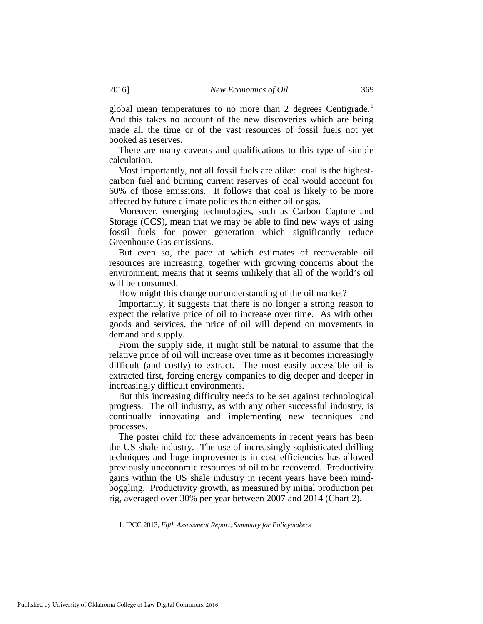global mean temperatures to no more than 2 degrees Centigrade.<sup>[1](#page-5-0)</sup> And this takes no account of the new discoveries which are being made all the time or of the vast resources of fossil fuels not yet booked as reserves.

There are many caveats and qualifications to this type of simple calculation.

Most importantly, not all fossil fuels are alike: coal is the highestcarbon fuel and burning current reserves of coal would account for 60% of those emissions. It follows that coal is likely to be more affected by future climate policies than either oil or gas.

Moreover, emerging technologies, such as Carbon Capture and Storage (CCS), mean that we may be able to find new ways of using fossil fuels for power generation which significantly reduce Greenhouse Gas emissions.

But even so, the pace at which estimates of recoverable oil resources are increasing, together with growing concerns about the environment, means that it seems unlikely that all of the world's oil will be consumed.

How might this change our understanding of the oil market?

Importantly, it suggests that there is no longer a strong reason to expect the relative price of oil to increase over time. As with other goods and services, the price of oil will depend on movements in demand and supply.

From the supply side, it might still be natural to assume that the relative price of oil will increase over time as it becomes increasingly difficult (and costly) to extract. The most easily accessible oil is extracted first, forcing energy companies to dig deeper and deeper in increasingly difficult environments.

But this increasing difficulty needs to be set against technological progress. The oil industry, as with any other successful industry, is continually innovating and implementing new techniques and processes.

The poster child for these advancements in recent years has been the US shale industry. The use of increasingly sophisticated drilling techniques and huge improvements in cost efficiencies has allowed previously uneconomic resources of oil to be recovered. Productivity gains within the US shale industry in recent years have been mindboggling. Productivity growth, as measured by initial production per rig, averaged over 30% per year between 2007 and 2014 (Chart 2).

<span id="page-5-0"></span> <sup>1.</sup> IPCC <sup>2013</sup>*, Fifth Assessment Report, Summary for Policymakers*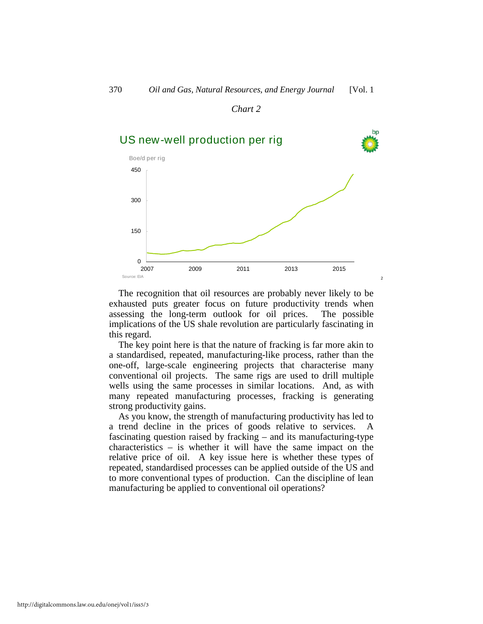#### *Chart 2*



The recognition that oil resources are probably never likely to be exhausted puts greater focus on future productivity trends when assessing the long-term outlook for oil prices. The possible implications of the US shale revolution are particularly fascinating in this regard.

The key point here is that the nature of fracking is far more akin to a standardised, repeated, manufacturing-like process, rather than the one-off, large-scale engineering projects that characterise many conventional oil projects. The same rigs are used to drill multiple wells using the same processes in similar locations. And, as with many repeated manufacturing processes, fracking is generating strong productivity gains.

As you know, the strength of manufacturing productivity has led to a trend decline in the prices of goods relative to services. fascinating question raised by fracking – and its manufacturing-type characteristics – is whether it will have the same impact on the relative price of oil. A key issue here is whether these types of repeated, standardised processes can be applied outside of the US and to more conventional types of production. Can the discipline of lean manufacturing be applied to conventional oil operations?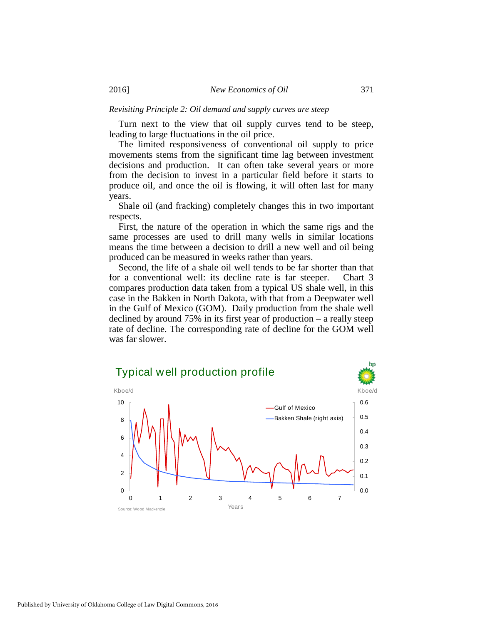#### *Revisiting Principle 2: Oil demand and supply curves are steep*

Turn next to the view that oil supply curves tend to be steep, leading to large fluctuations in the oil price.

The limited responsiveness of conventional oil supply to price movements stems from the significant time lag between investment decisions and production. It can often take several years or more from the decision to invest in a particular field before it starts to produce oil, and once the oil is flowing, it will often last for many years.

Shale oil (and fracking) completely changes this in two important respects.

First, the nature of the operation in which the same rigs and the same processes are used to drill many wells in similar locations means the time between a decision to drill a new well and oil being produced can be measured in weeks rather than years.

Second, the life of a shale oil well tends to be far shorter than that for a conventional well: its decline rate is far steeper. Chart 3 compares production data taken from a typical US shale well, in this case in the Bakken in North Dakota, with that from a Deepwater well in the Gulf of Mexico (GOM). Daily production from the shale well declined by around 75% in its first year of production – a really steep rate of decline. The corresponding rate of decline for the GOM well was far slower.

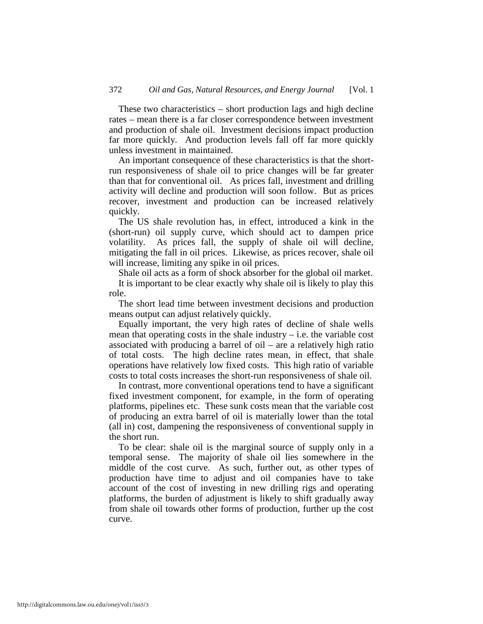These two characteristics – short production lags and high decline rates – mean there is a far closer correspondence between investment and production of shale oil. Investment decisions impact production far more quickly. And production levels fall off far more quickly unless investment in maintained.

An important consequence of these characteristics is that the shortrun responsiveness of shale oil to price changes will be far greater than that for conventional oil. As prices fall, investment and drilling activity will decline and production will soon follow. But as prices recover, investment and production can be increased relatively quickly.

The US shale revolution has, in effect, introduced a kink in the (short-run) oil supply curve, which should act to dampen price volatility. As prices fall, the supply of shale oil will decline, mitigating the fall in oil prices. Likewise, as prices recover, shale oil will increase, limiting any spike in oil prices.

Shale oil acts as a form of shock absorber for the global oil market.

It is important to be clear exactly why shale oil is likely to play this role.

The short lead time between investment decisions and production means output can adjust relatively quickly.

Equally important, the very high rates of decline of shale wells mean that operating costs in the shale industry  $-$  i.e. the variable cost associated with producing a barrel of oil – are a relatively high ratio of total costs. The high decline rates mean, in effect, that shale operations have relatively low fixed costs. This high ratio of variable costs to total costs increases the short-run responsiveness of shale oil.

In contrast, more conventional operations tend to have a significant fixed investment component, for example, in the form of operating platforms, pipelines etc. These sunk costs mean that the variable cost of producing an extra barrel of oil is materially lower than the total (all in) cost, dampening the responsiveness of conventional supply in the short run.

To be clear: shale oil is the marginal source of supply only in a temporal sense. The majority of shale oil lies somewhere in the middle of the cost curve. As such, further out, as other types of production have time to adjust and oil companies have to take account of the cost of investing in new drilling rigs and operating platforms, the burden of adjustment is likely to shift gradually away from shale oil towards other forms of production, further up the cost curve.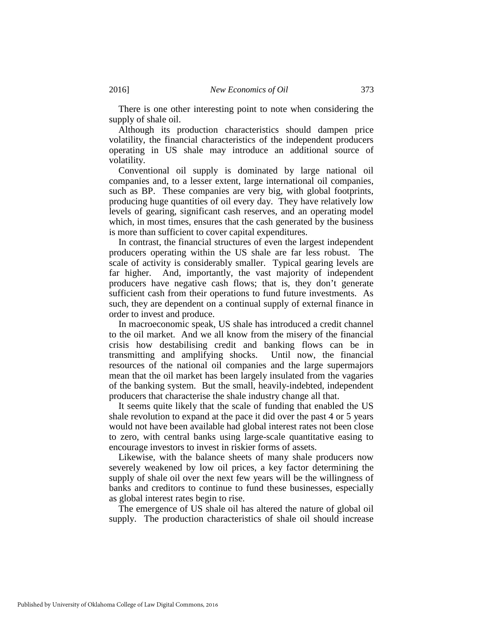There is one other interesting point to note when considering the supply of shale oil.

Although its production characteristics should dampen price volatility, the financial characteristics of the independent producers operating in US shale may introduce an additional source of volatility.

Conventional oil supply is dominated by large national oil companies and, to a lesser extent, large international oil companies, such as BP. These companies are very big, with global footprints, producing huge quantities of oil every day. They have relatively low levels of gearing, significant cash reserves, and an operating model which, in most times, ensures that the cash generated by the business is more than sufficient to cover capital expenditures.

In contrast, the financial structures of even the largest independent producers operating within the US shale are far less robust. The scale of activity is considerably smaller. Typical gearing levels are far higher. And, importantly, the vast majority of independent producers have negative cash flows; that is, they don't generate sufficient cash from their operations to fund future investments. As such, they are dependent on a continual supply of external finance in order to invest and produce.

In macroeconomic speak, US shale has introduced a credit channel to the oil market. And we all know from the misery of the financial crisis how destabilising credit and banking flows can be in transmitting and amplifying shocks. Until now, the financial resources of the national oil companies and the large supermajors mean that the oil market has been largely insulated from the vagaries of the banking system. But the small, heavily-indebted, independent producers that characterise the shale industry change all that.

It seems quite likely that the scale of funding that enabled the US shale revolution to expand at the pace it did over the past 4 or 5 years would not have been available had global interest rates not been close to zero, with central banks using large-scale quantitative easing to encourage investors to invest in riskier forms of assets.

Likewise, with the balance sheets of many shale producers now severely weakened by low oil prices, a key factor determining the supply of shale oil over the next few years will be the willingness of banks and creditors to continue to fund these businesses, especially as global interest rates begin to rise.

The emergence of US shale oil has altered the nature of global oil supply. The production characteristics of shale oil should increase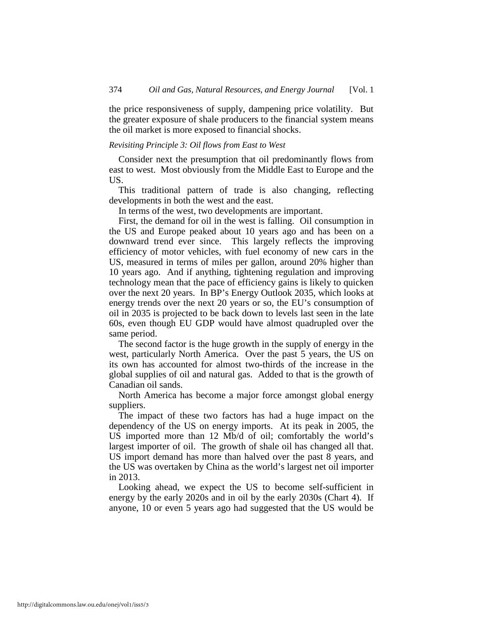the price responsiveness of supply, dampening price volatility. But the greater exposure of shale producers to the financial system means the oil market is more exposed to financial shocks.

#### *Revisiting Principle 3: Oil flows from East to West*

Consider next the presumption that oil predominantly flows from east to west. Most obviously from the Middle East to Europe and the US.

This traditional pattern of trade is also changing, reflecting developments in both the west and the east.

In terms of the west, two developments are important.

First, the demand for oil in the west is falling. Oil consumption in the US and Europe peaked about 10 years ago and has been on a downward trend ever since. This largely reflects the improving efficiency of motor vehicles, with fuel economy of new cars in the US, measured in terms of miles per gallon, around 20% higher than 10 years ago. And if anything, tightening regulation and improving technology mean that the pace of efficiency gains is likely to quicken over the next 20 years. In BP's Energy Outlook 2035, which looks at energy trends over the next 20 years or so, the EU's consumption of oil in 2035 is projected to be back down to levels last seen in the late 60s, even though EU GDP would have almost quadrupled over the same period.

The second factor is the huge growth in the supply of energy in the west, particularly North America. Over the past 5 years, the US on its own has accounted for almost two-thirds of the increase in the global supplies of oil and natural gas. Added to that is the growth of Canadian oil sands.

North America has become a major force amongst global energy suppliers.

The impact of these two factors has had a huge impact on the dependency of the US on energy imports. At its peak in 2005, the US imported more than 12 Mb/d of oil; comfortably the world's largest importer of oil. The growth of shale oil has changed all that. US import demand has more than halved over the past 8 years, and the US was overtaken by China as the world's largest net oil importer in 2013.

Looking ahead, we expect the US to become self-sufficient in energy by the early 2020s and in oil by the early 2030s (Chart 4). If anyone, 10 or even 5 years ago had suggested that the US would be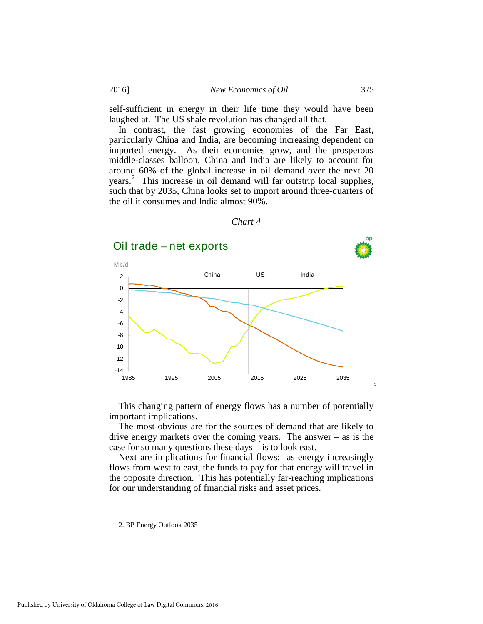#### 2016] *New Economics of Oil* 375

self-sufficient in energy in their life time they would have been laughed at. The US shale revolution has changed all that.

In contrast, the fast growing economies of the Far East, particularly China and India, are becoming increasing dependent on imported energy. As their economies grow, and the prosperous middle-classes balloon, China and India are likely to account for around 60% of the global increase in oil demand over the next 20 years. [2](#page-11-0) This increase in oil demand will far outstrip local supplies, such that by 2035, China looks set to import around three-quarters of the oil it consumes and India almost 90%.



*Chart 4* 

This changing pattern of energy flows has a number of potentially important implications.

The most obvious are for the sources of demand that are likely to drive energy markets over the coming years. The answer – as is the case for so many questions these days – is to look east.

Next are implications for financial flows: as energy increasingly flows from west to east, the funds to pay for that energy will travel in the opposite direction. This has potentially far-reaching implications for our understanding of financial risks and asset prices.

<span id="page-11-0"></span> <sup>2.</sup> BP Energy Outlook 2035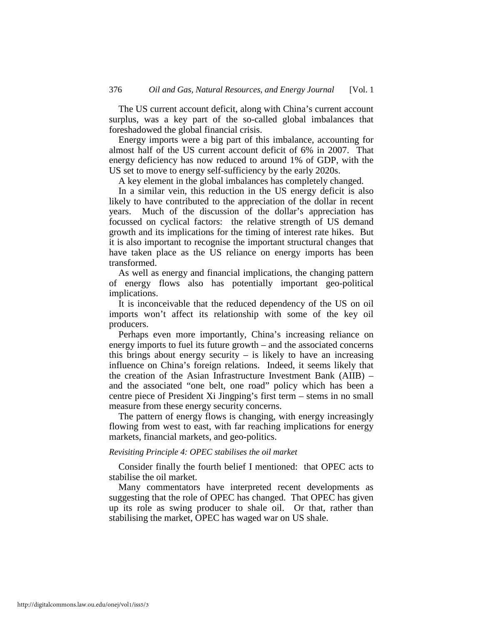The US current account deficit, along with China's current account surplus, was a key part of the so-called global imbalances that foreshadowed the global financial crisis.

Energy imports were a big part of this imbalance, accounting for almost half of the US current account deficit of 6% in 2007. That energy deficiency has now reduced to around 1% of GDP, with the US set to move to energy self-sufficiency by the early 2020s.

A key element in the global imbalances has completely changed.

In a similar vein, this reduction in the US energy deficit is also likely to have contributed to the appreciation of the dollar in recent years. Much of the discussion of the dollar's appreciation has focussed on cyclical factors: the relative strength of US demand growth and its implications for the timing of interest rate hikes. But it is also important to recognise the important structural changes that have taken place as the US reliance on energy imports has been transformed.

As well as energy and financial implications, the changing pattern of energy flows also has potentially important geo-political implications.

It is inconceivable that the reduced dependency of the US on oil imports won't affect its relationship with some of the key oil producers.

Perhaps even more importantly, China's increasing reliance on energy imports to fuel its future growth – and the associated concerns this brings about energy security  $-$  is likely to have an increasing influence on China's foreign relations. Indeed, it seems likely that the creation of the Asian Infrastructure Investment Bank (AIIB) – and the associated "one belt, one road" policy which has been a centre piece of President Xi Jingping's first term – stems in no small measure from these energy security concerns.

The pattern of energy flows is changing, with energy increasingly flowing from west to east, with far reaching implications for energy markets, financial markets, and geo-politics.

#### *Revisiting Principle 4: OPEC stabilises the oil market*

Consider finally the fourth belief I mentioned: that OPEC acts to stabilise the oil market.

Many commentators have interpreted recent developments as suggesting that the role of OPEC has changed. That OPEC has given up its role as swing producer to shale oil. Or that, rather than stabilising the market, OPEC has waged war on US shale.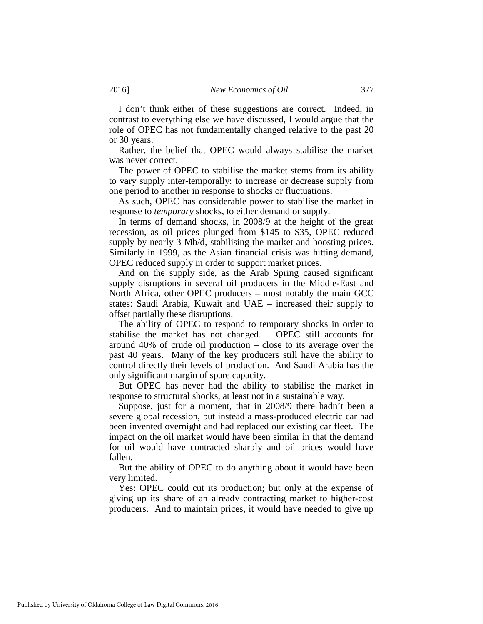I don't think either of these suggestions are correct. Indeed, in contrast to everything else we have discussed, I would argue that the role of OPEC has not fundamentally changed relative to the past 20 or 30 years.

Rather, the belief that OPEC would always stabilise the market was never correct.

The power of OPEC to stabilise the market stems from its ability to vary supply inter-temporally: to increase or decrease supply from one period to another in response to shocks or fluctuations.

As such, OPEC has considerable power to stabilise the market in response to *temporary* shocks, to either demand or supply.

In terms of demand shocks, in 2008/9 at the height of the great recession, as oil prices plunged from \$145 to \$35, OPEC reduced supply by nearly 3 Mb/d, stabilising the market and boosting prices. Similarly in 1999, as the Asian financial crisis was hitting demand, OPEC reduced supply in order to support market prices.

And on the supply side, as the Arab Spring caused significant supply disruptions in several oil producers in the Middle-East and North Africa, other OPEC producers – most notably the main GCC states: Saudi Arabia, Kuwait and UAE – increased their supply to offset partially these disruptions.

The ability of OPEC to respond to temporary shocks in order to stabilise the market has not changed. OPEC still accounts for around 40% of crude oil production – close to its average over the past 40 years. Many of the key producers still have the ability to control directly their levels of production. And Saudi Arabia has the only significant margin of spare capacity.

But OPEC has never had the ability to stabilise the market in response to structural shocks, at least not in a sustainable way.

Suppose, just for a moment, that in 2008/9 there hadn't been a severe global recession, but instead a mass-produced electric car had been invented overnight and had replaced our existing car fleet. The impact on the oil market would have been similar in that the demand for oil would have contracted sharply and oil prices would have fallen.

But the ability of OPEC to do anything about it would have been very limited.

Yes: OPEC could cut its production; but only at the expense of giving up its share of an already contracting market to higher-cost producers. And to maintain prices, it would have needed to give up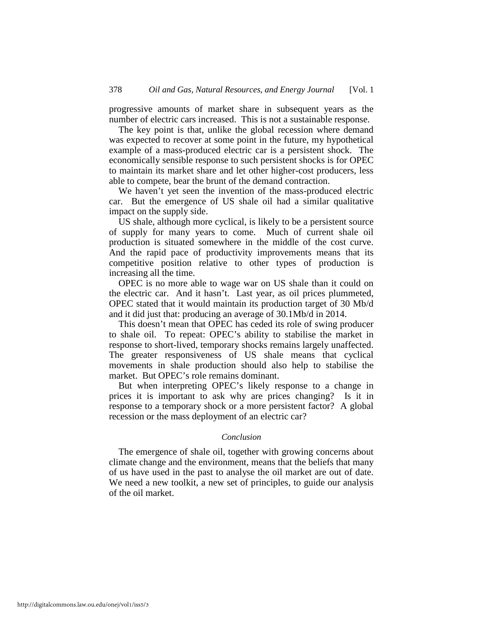progressive amounts of market share in subsequent years as the number of electric cars increased. This is not a sustainable response.

The key point is that, unlike the global recession where demand was expected to recover at some point in the future, my hypothetical example of a mass-produced electric car is a persistent shock. The economically sensible response to such persistent shocks is for OPEC to maintain its market share and let other higher-cost producers, less able to compete, bear the brunt of the demand contraction.

We haven't yet seen the invention of the mass-produced electric car. But the emergence of US shale oil had a similar qualitative impact on the supply side.

US shale, although more cyclical, is likely to be a persistent source of supply for many years to come. Much of current shale oil production is situated somewhere in the middle of the cost curve. And the rapid pace of productivity improvements means that its competitive position relative to other types of production is increasing all the time.

OPEC is no more able to wage war on US shale than it could on the electric car. And it hasn't. Last year, as oil prices plummeted, OPEC stated that it would maintain its production target of 30 Mb/d and it did just that: producing an average of 30.1Mb/d in 2014.

This doesn't mean that OPEC has ceded its role of swing producer to shale oil. To repeat: OPEC's ability to stabilise the market in response to short-lived, temporary shocks remains largely unaffected. The greater responsiveness of US shale means that cyclical movements in shale production should also help to stabilise the market. But OPEC's role remains dominant.

But when interpreting OPEC's likely response to a change in prices it is important to ask why are prices changing? Is it in response to a temporary shock or a more persistent factor? A global recession or the mass deployment of an electric car?

#### *Conclusion*

The emergence of shale oil, together with growing concerns about climate change and the environment, means that the beliefs that many of us have used in the past to analyse the oil market are out of date. We need a new toolkit, a new set of principles, to guide our analysis of the oil market.